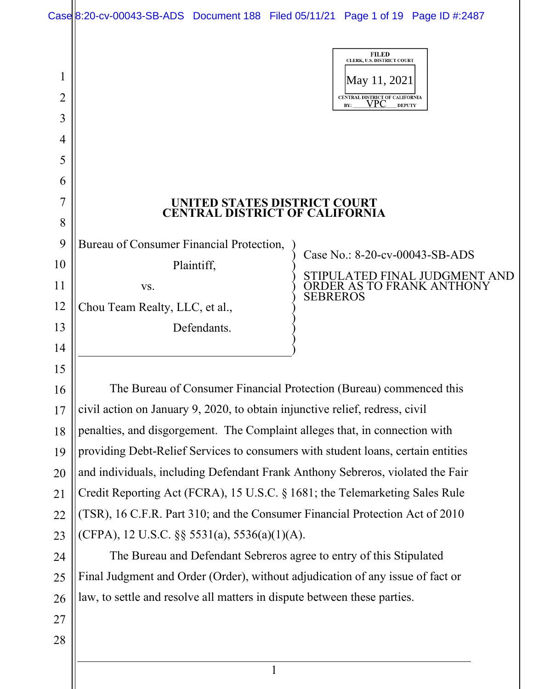|             | Case 8:20-cv-00043-SB-ADS Document 188 Filed 05/11/21 Page 1 of 19 Page ID #:2487 |                                                                                                                              |
|-------------|-----------------------------------------------------------------------------------|------------------------------------------------------------------------------------------------------------------------------|
| 1<br>2<br>3 |                                                                                   | <b>FILED</b><br>CLERK, U.S. DISTRICT COURT<br>May 11, 2021 <br>CENTRAL DISTRICT OF CALIFORNIA<br>VPC<br>BY:<br><b>DEPUTY</b> |
| 4           |                                                                                   |                                                                                                                              |
| 5           |                                                                                   |                                                                                                                              |
| 6           |                                                                                   |                                                                                                                              |
| 7           | UNITED STATES DISTRICT COURT                                                      |                                                                                                                              |
| 8           | <b>CENTRAL DISTRICT OF CALIFORNIA</b>                                             |                                                                                                                              |
| 9           | Bureau of Consumer Financial Protection,                                          |                                                                                                                              |
| 10          | Plaintiff,                                                                        | Case No.: 8-20-cv-00043-SB-ADS                                                                                               |
| 11          | VS.                                                                               | STIPULATED FINAL JUDGMENT AND<br>ORDER AS TO FRANK ANTHONY<br><b>SEBREROS</b>                                                |
| 12          | Chou Team Realty, LLC, et al.,                                                    |                                                                                                                              |
| 13          | Defendants.                                                                       |                                                                                                                              |
| 14          |                                                                                   |                                                                                                                              |
| 15          |                                                                                   |                                                                                                                              |
| 16          | The Bureau of Consumer Financial Protection (Bureau) commenced this               |                                                                                                                              |
| 17          | civil action on January 9, 2020, to obtain injunctive relief, redress, civil      |                                                                                                                              |
| 18          | penalties, and disgorgement. The Complaint alleges that, in connection with       |                                                                                                                              |
| 19          | providing Debt-Relief Services to consumers with student loans, certain entities  |                                                                                                                              |
| 20          | and individuals, including Defendant Frank Anthony Sebreros, violated the Fair    |                                                                                                                              |
| 21          | Credit Reporting Act (FCRA), 15 U.S.C. § 1681; the Telemarketing Sales Rule       |                                                                                                                              |
| 22          | (TSR), 16 C.F.R. Part 310; and the Consumer Financial Protection Act of 2010      |                                                                                                                              |
| 23          | (CFPA), 12 U.S.C. $\S$ § 5531(a), 5536(a)(1)(A).                                  |                                                                                                                              |
| 24          | The Bureau and Defendant Sebreros agree to entry of this Stipulated               |                                                                                                                              |
| 25          | Final Judgment and Order (Order), without adjudication of any issue of fact or    |                                                                                                                              |
| 26          | law, to settle and resolve all matters in dispute between these parties.          |                                                                                                                              |
| 27          |                                                                                   |                                                                                                                              |
| 28          |                                                                                   |                                                                                                                              |
|             |                                                                                   |                                                                                                                              |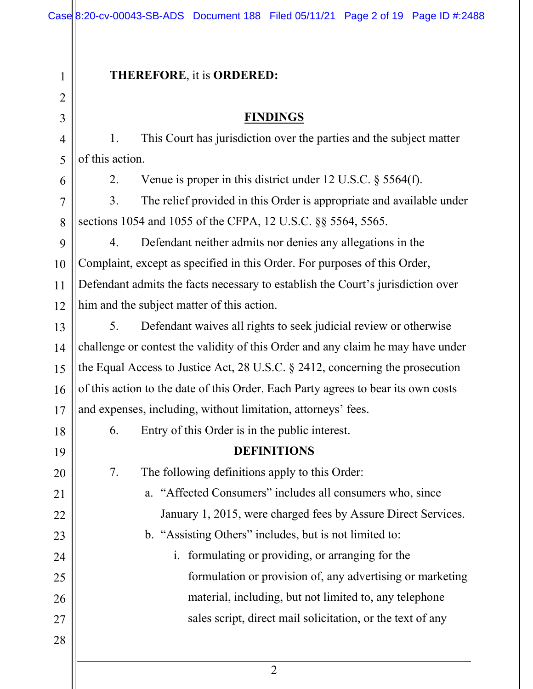#### 2 1 2 3 4 5 6 7 8 9 10 11 12 13 14 15 16 17 18 19 20 21 22 23 24 25 26 27 28 **THEREFORE**, it is **ORDERED: FINDINGS** 1. This Court has jurisdiction over the parties and the subject matter of this action. 2. Venue is proper in this district under 12 U.S.C. § 5564(f). 3. The relief provided in this Order is appropriate and available under sections 1054 and 1055 of the CFPA, 12 U.S.C. §§ 5564, 5565. 4. Defendant neither admits nor denies any allegations in the Complaint, except as specified in this Order. For purposes of this Order, Defendant admits the facts necessary to establish the Court's jurisdiction over him and the subject matter of this action. 5. Defendant waives all rights to seek judicial review or otherwise challenge or contest the validity of this Order and any claim he may have under the Equal Access to Justice Act, 28 U.S.C. § 2412, concerning the prosecution of this action to the date of this Order. Each Party agrees to bear its own costs and expenses, including, without limitation, attorneys' fees. 6. Entry of this Order is in the public interest. **DEFINITIONS** 7. The following definitions apply to this Order: a. "Affected Consumers" includes all consumers who, since January 1, 2015, were charged fees by Assure Direct Services. b. "Assisting Others" includes, but is not limited to: i. formulating or providing, or arranging for the formulation or provision of, any advertising or marketing material, including, but not limited to, any telephone sales script, direct mail solicitation, or the text of any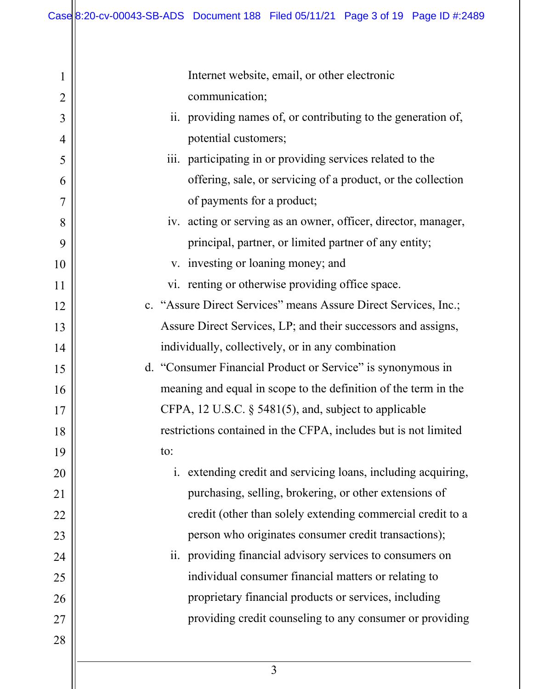| $\mathbf 1$    | Internet website, email, or other electronic                    |
|----------------|-----------------------------------------------------------------|
| $\overline{2}$ | communication;                                                  |
| 3              | ii. providing names of, or contributing to the generation of,   |
| $\overline{4}$ | potential customers;                                            |
| 5              | iii. participating in or providing services related to the      |
| 6              | offering, sale, or servicing of a product, or the collection    |
| $\overline{7}$ | of payments for a product;                                      |
| 8              | iv. acting or serving as an owner, officer, director, manager,  |
| 9              | principal, partner, or limited partner of any entity;           |
| 10             | v. investing or loaning money; and                              |
| 11             | vi. renting or otherwise providing office space.                |
| 12             | c. "Assure Direct Services" means Assure Direct Services, Inc.; |
| 13             | Assure Direct Services, LP; and their successors and assigns,   |
| 14             | individually, collectively, or in any combination               |
| 15             | d. "Consumer Financial Product or Service" is synonymous in     |
| 16             | meaning and equal in scope to the definition of the term in the |
| 17             | CFPA, 12 U.S.C. $\S$ 5481(5), and, subject to applicable        |
| 18             | restrictions contained in the CFPA, includes but is not limited |
| 19             | to:                                                             |
| 20             | i. extending credit and servicing loans, including acquiring,   |
| 21             | purchasing, selling, brokering, or other extensions of          |
| 22             | credit (other than solely extending commercial credit to a      |
| 23             | person who originates consumer credit transactions);            |
| 24             | ii. providing financial advisory services to consumers on       |
| 25             | individual consumer financial matters or relating to            |
| 26             | proprietary financial products or services, including           |
| 27             | providing credit counseling to any consumer or providing        |
| 28             |                                                                 |
|                |                                                                 |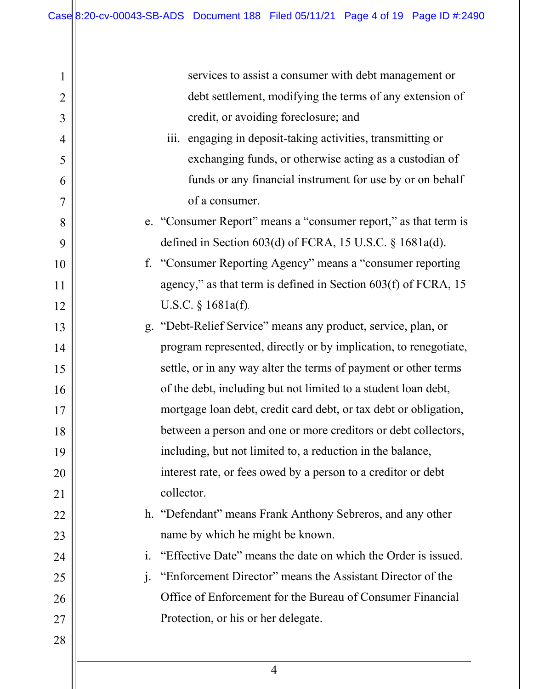1 2 3 4 5 6 7 8 9 10 11 12 13 14 15 16 17 18 19 20 21 22 23 24 25 26 27 28 services to assist a consumer with debt management or debt settlement, modifying the terms of any extension of credit, or avoiding foreclosure; and iii. engaging in deposit-taking activities, transmitting or exchanging funds, or otherwise acting as a custodian of funds or any financial instrument for use by or on behalf of a consumer. e. "Consumer Report" means a "consumer report," as that term is defined in Section 603(d) of FCRA, 15 U.S.C. § 1681a(d). f. "Consumer Reporting Agency" means a "consumer reporting agency," as that term is defined in Section 603(f) of FCRA, 15 U.S.C. § 1681a(f). g. "Debt-Relief Service" means any product, service, plan, or program represented, directly or by implication, to renegotiate, settle, or in any way alter the terms of payment or other terms of the debt, including but not limited to a student loan debt, mortgage loan debt, credit card debt, or tax debt or obligation, between a person and one or more creditors or debt collectors, including, but not limited to, a reduction in the balance, interest rate, or fees owed by a person to a creditor or debt collector. h. "Defendant" means Frank Anthony Sebreros, and any other name by which he might be known. i. "Effective Date" means the date on which the Order is issued. j. "Enforcement Director" means the Assistant Director of the Office of Enforcement for the Bureau of Consumer Financial Protection, or his or her delegate.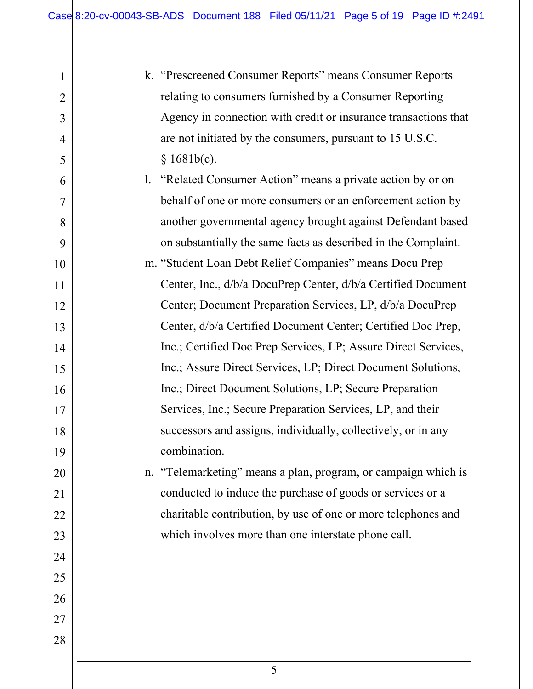2

3

4

5

6

7

8

9

10

11

12

13

14

15

16

17

18

19

20

21

22

23

24

25

26

27

28

| k. "Prescreened Consumer Reports" means Consumer Reports        |
|-----------------------------------------------------------------|
| relating to consumers furnished by a Consumer Reporting         |
| Agency in connection with credit or insurance transactions that |
| are not initiated by the consumers, pursuant to 15 U.S.C.       |
| § 1681b(c).                                                     |

- l. "Related Consumer Action" means a private action by or on behalf of one or more consumers or an enforcement action by another governmental agency brought against Defendant based on substantially the same facts as described in the Complaint.
- m. "Student Loan Debt Relief Companies" means Docu Prep Center, Inc., d/b/a DocuPrep Center, d/b/a Certified Document Center; Document Preparation Services, LP, d/b/a DocuPrep Center, d/b/a Certified Document Center; Certified Doc Prep, Inc.; Certified Doc Prep Services, LP; Assure Direct Services, Inc.; Assure Direct Services, LP; Direct Document Solutions, Inc.; Direct Document Solutions, LP; Secure Preparation Services, Inc.; Secure Preparation Services, LP, and their successors and assigns, individually, collectively, or in any combination.

# n. "Telemarketing" means a plan, program, or campaign which is conducted to induce the purchase of goods or services or a charitable contribution, by use of one or more telephones and which involves more than one interstate phone call.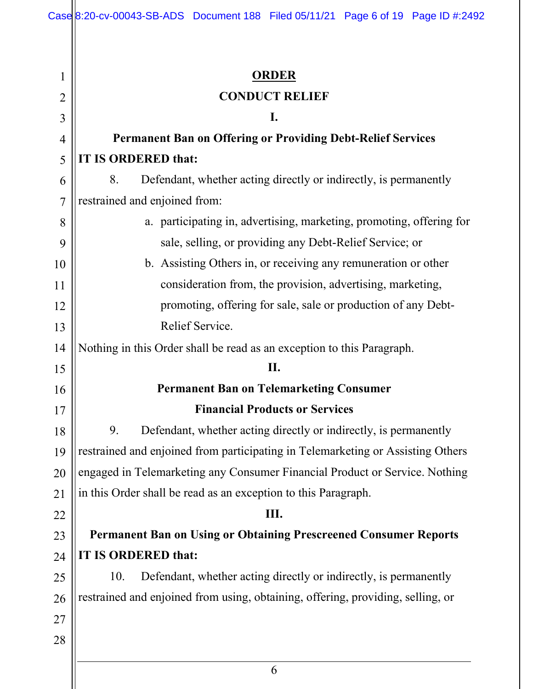| 1              | <b>ORDER</b>                                                                    |
|----------------|---------------------------------------------------------------------------------|
| $\overline{2}$ | <b>CONDUCT RELIEF</b>                                                           |
| 3              | I.                                                                              |
| $\overline{4}$ | <b>Permanent Ban on Offering or Providing Debt-Relief Services</b>              |
| 5              | <b>IT IS ORDERED that:</b>                                                      |
| 6              | 8.<br>Defendant, whether acting directly or indirectly, is permanently          |
| $\overline{7}$ | restrained and enjoined from:                                                   |
| 8              | a. participating in, advertising, marketing, promoting, offering for            |
| 9              | sale, selling, or providing any Debt-Relief Service; or                         |
| 10             | b. Assisting Others in, or receiving any remuneration or other                  |
| 11             | consideration from, the provision, advertising, marketing,                      |
| 12             | promoting, offering for sale, sale or production of any Debt-                   |
| 13             | Relief Service.                                                                 |
| 14             | Nothing in this Order shall be read as an exception to this Paragraph.          |
| 15             | II.                                                                             |
| 16             | <b>Permanent Ban on Telemarketing Consumer</b>                                  |
| 17             | <b>Financial Products or Services</b>                                           |
| 18             | 9.<br>Defendant, whether acting directly or indirectly, is permanently          |
| 19             | restrained and enjoined from participating in Telemarketing or Assisting Others |
| 20             | engaged in Telemarketing any Consumer Financial Product or Service. Nothing     |
| 21             | in this Order shall be read as an exception to this Paragraph.                  |
| 22             | Ш.                                                                              |
| 23             | <b>Permanent Ban on Using or Obtaining Prescreened Consumer Reports</b>         |
| 24             | <b>IT IS ORDERED that:</b>                                                      |
| 25             | 10.<br>Defendant, whether acting directly or indirectly, is permanently         |
| 26             | restrained and enjoined from using, obtaining, offering, providing, selling, or |
| 27             |                                                                                 |
| 28             |                                                                                 |
|                | 6                                                                               |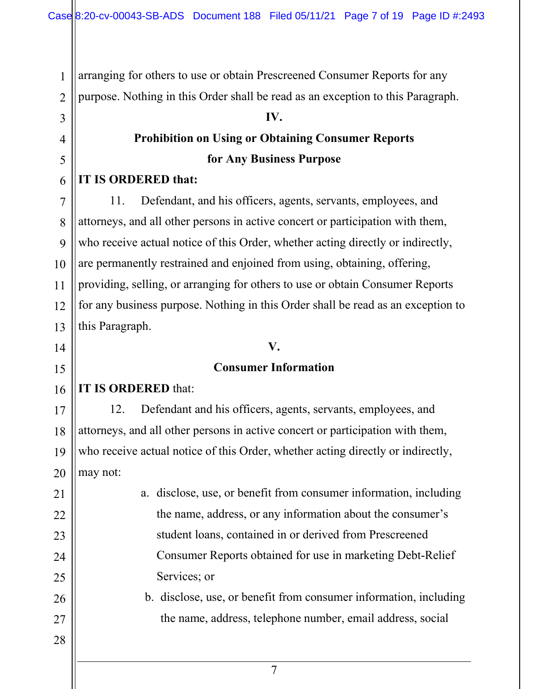arranging for others to use or obtain Prescreened Consumer Reports for any

purpose. Nothing in this Order shall be read as an exception to this Paragraph.

#### **IV.**

# **Prohibition on Using or Obtaining Consumer Reports for Any Business Purpose**

#### **IT IS ORDERED that:**

1

2

3

4

5

6

7

8

9

10

11

12

13

14

15

17

18

19

21

22

23

24

25

26

27

11. Defendant, and his officers, agents, servants, employees, and attorneys, and all other persons in active concert or participation with them, who receive actual notice of this Order, whether acting directly or indirectly, are permanently restrained and enjoined from using, obtaining, offering, providing, selling, or arranging for others to use or obtain Consumer Reports for any business purpose. Nothing in this Order shall be read as an exception to this Paragraph.

# **V.**

#### **Consumer Information**

#### 16 **IT IS ORDERED** that:

20 12. Defendant and his officers, agents, servants, employees, and attorneys, and all other persons in active concert or participation with them, who receive actual notice of this Order, whether acting directly or indirectly, may not:

> a. disclose, use, or benefit from consumer information, including the name, address, or any information about the consumer's student loans, contained in or derived from Prescreened Consumer Reports obtained for use in marketing Debt-Relief Services; or

- b. disclose, use, or benefit from consumer information, including the name, address, telephone number, email address, social
- 28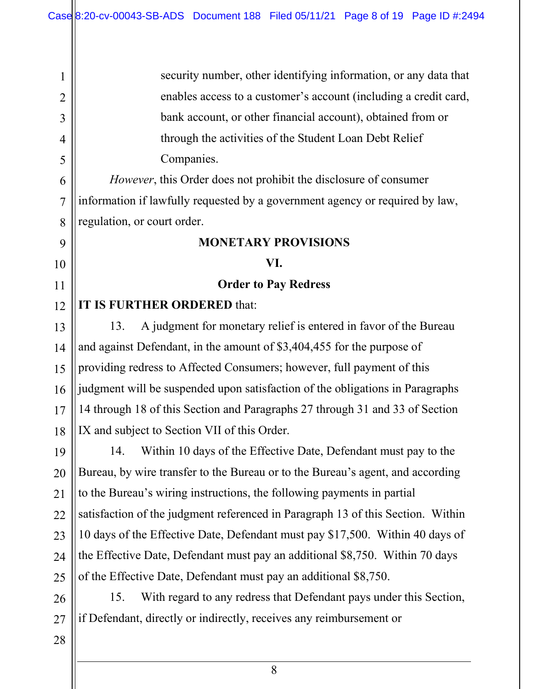security number, other identifying information, or any data that enables access to a customer's account (including a credit card, bank account, or other financial account), obtained from or through the activities of the Student Loan Debt Relief Companies.

*However*, this Order does not prohibit the disclosure of consumer information if lawfully requested by a government agency or required by law, regulation, or court order.

#### **MONETARY PROVISIONS**

#### **VI.**

**Order to Pay Redress**

#### 12 **IT IS FURTHER ORDERED** that:

13. A judgment for monetary relief is entered in favor of the Bureau and against Defendant, in the amount of \$3,404,455 for the purpose of providing redress to Affected Consumers; however, full payment of this judgment will be suspended upon satisfaction of the obligations in Paragraphs 14 through 18 of this Section and Paragraphs 27 through 31 and 33 of Section IX and subject to Section VII of this Order.

19 20 21 22 23 24 25 14. Within 10 days of the Effective Date, Defendant must pay to the Bureau, by wire transfer to the Bureau or to the Bureau's agent, and according to the Bureau's wiring instructions, the following payments in partial satisfaction of the judgment referenced in Paragraph 13 of this Section. Within 10 days of the Effective Date, Defendant must pay \$17,500. Within 40 days of the Effective Date, Defendant must pay an additional \$8,750. Within 70 days of the Effective Date, Defendant must pay an additional \$8,750.

26 27 15. With regard to any redress that Defendant pays under this Section, if Defendant, directly or indirectly, receives any reimbursement or

28

1

2

3

4

5

6

7

8

9

10

11

13

14

15

16

17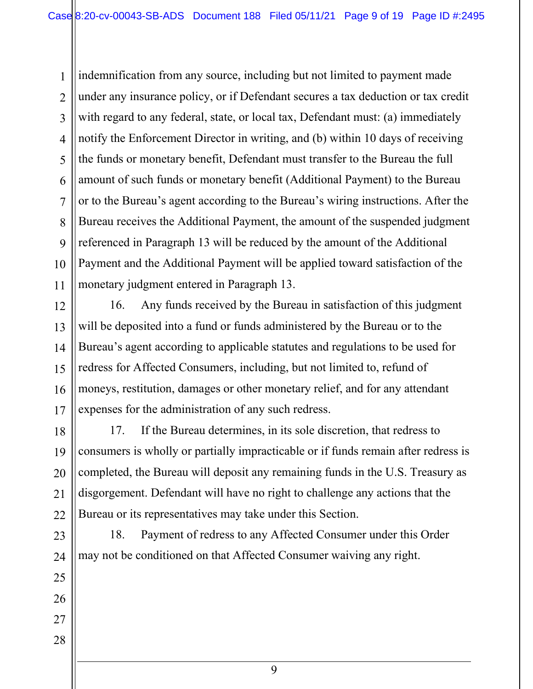1 2 3 4 5 indemnification from any source, including but not limited to payment made under any insurance policy, or if Defendant secures a tax deduction or tax credit with regard to any federal, state, or local tax, Defendant must: (a) immediately notify the Enforcement Director in writing, and (b) within 10 days of receiving the funds or monetary benefit, Defendant must transfer to the Bureau the full amount of such funds or monetary benefit (Additional Payment) to the Bureau or to the Bureau's agent according to the Bureau's wiring instructions. After the Bureau receives the Additional Payment, the amount of the suspended judgment referenced in Paragraph 13 will be reduced by the amount of the Additional Payment and the Additional Payment will be applied toward satisfaction of the monetary judgment entered in Paragraph 13.

16. Any funds received by the Bureau in satisfaction of this judgment will be deposited into a fund or funds administered by the Bureau or to the Bureau's agent according to applicable statutes and regulations to be used for redress for Affected Consumers, including, but not limited to, refund of moneys, restitution, damages or other monetary relief, and for any attendant expenses for the administration of any such redress.

17. If the Bureau determines, in its sole discretion, that redress to consumers is wholly or partially impracticable or if funds remain after redress is completed, the Bureau will deposit any remaining funds in the U.S. Treasury as disgorgement. Defendant will have no right to challenge any actions that the Bureau or its representatives may take under this Section.

18. Payment of redress to any Affected Consumer under this Order may not be conditioned on that Affected Consumer waiving any right.

9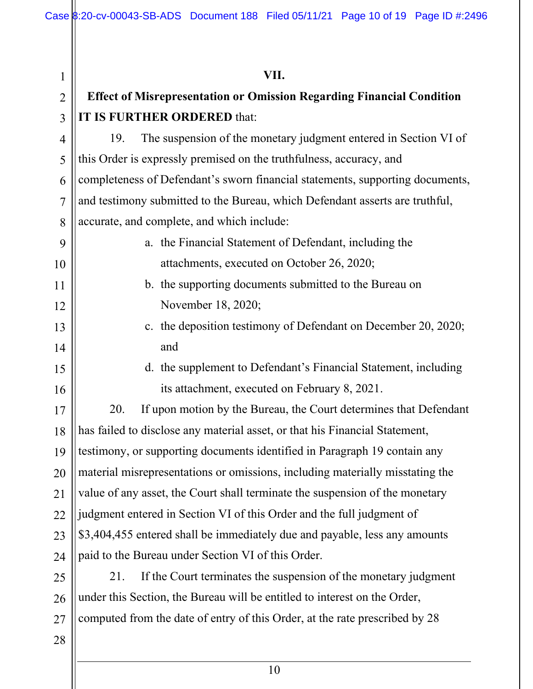| 1              | VII.                                                                          |
|----------------|-------------------------------------------------------------------------------|
| $\overline{2}$ | <b>Effect of Misrepresentation or Omission Regarding Financial Condition</b>  |
| 3              | IT IS FURTHER ORDERED that:                                                   |
| 4              | The suspension of the monetary judgment entered in Section VI of<br>19.       |
| 5              | this Order is expressly premised on the truthfulness, accuracy, and           |
| 6              | completeness of Defendant's sworn financial statements, supporting documents, |
| $\overline{7}$ | and testimony submitted to the Bureau, which Defendant asserts are truthful,  |
| 8              | accurate, and complete, and which include:                                    |
| 9              | a. the Financial Statement of Defendant, including the                        |
| 10             | attachments, executed on October 26, 2020;                                    |
| 11             | b. the supporting documents submitted to the Bureau on                        |
| 12             | November 18, 2020;                                                            |
| 13             | c. the deposition testimony of Defendant on December 20, 2020;                |
| 14             | and                                                                           |
| 15             | d. the supplement to Defendant's Financial Statement, including               |
| 16             | its attachment, executed on February 8, 2021.                                 |
| 17             | 20.<br>If upon motion by the Bureau, the Court determines that Defendant      |
| 18             | has failed to disclose any material asset, or that his Financial Statement,   |
| 19             | testimony, or supporting documents identified in Paragraph 19 contain any     |
| 20             | material misrepresentations or omissions, including materially misstating the |
| 21             | value of any asset, the Court shall terminate the suspension of the monetary  |
| 22             | judgment entered in Section VI of this Order and the full judgment of         |
| 23             | \$3,404,455 entered shall be immediately due and payable, less any amounts    |
| 24             | paid to the Bureau under Section VI of this Order.                            |
| 25             | If the Court terminates the suspension of the monetary judgment<br>21.        |
| 26             | under this Section, the Bureau will be entitled to interest on the Order,     |
| 27             | computed from the date of entry of this Order, at the rate prescribed by 28   |
| 28             |                                                                               |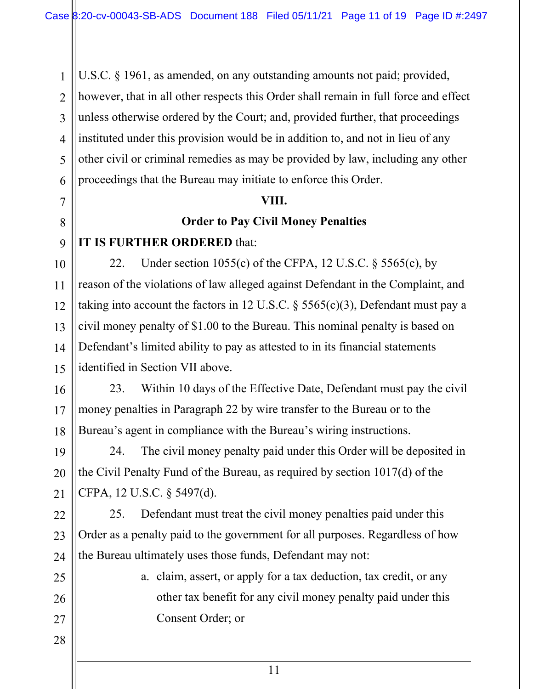1 U.S.C. § 1961, as amended, on any outstanding amounts not paid; provided, however, that in all other respects this Order shall remain in full force and effect unless otherwise ordered by the Court; and, provided further, that proceedings instituted under this provision would be in addition to, and not in lieu of any other civil or criminal remedies as may be provided by law, including any other proceedings that the Bureau may initiate to enforce this Order.

#### **VIII.**

### **Order to Pay Civil Money Penalties**

## **IT IS FURTHER ORDERED** that:

22. Under section 1055(c) of the CFPA, 12 U.S.C.  $\S$  5565(c), by reason of the violations of law alleged against Defendant in the Complaint, and taking into account the factors in 12 U.S.C. § 5565(c)(3), Defendant must pay a civil money penalty of \$1.00 to the Bureau. This nominal penalty is based on Defendant's limited ability to pay as attested to in its financial statements identified in Section VII above.

23. Within 10 days of the Effective Date, Defendant must pay the civil money penalties in Paragraph 22 by wire transfer to the Bureau or to the Bureau's agent in compliance with the Bureau's wiring instructions.

24. The civil money penalty paid under this Order will be deposited in the Civil Penalty Fund of the Bureau, as required by section 1017(d) of the CFPA, 12 U.S.C. § 5497(d).

25. Defendant must treat the civil money penalties paid under this Order as a penalty paid to the government for all purposes. Regardless of how the Bureau ultimately uses those funds, Defendant may not:

> a. claim, assert, or apply for a tax deduction, tax credit, or any other tax benefit for any civil money penalty paid under this Consent Order; or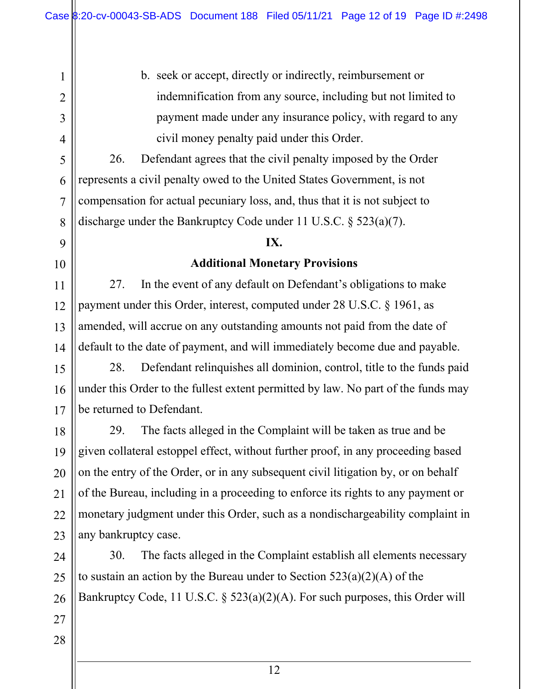b. seek or accept, directly or indirectly, reimbursement or indemnification from any source, including but not limited to payment made under any insurance policy, with regard to any civil money penalty paid under this Order.

26. Defendant agrees that the civil penalty imposed by the Order represents a civil penalty owed to the United States Government, is not compensation for actual pecuniary loss, and, thus that it is not subject to discharge under the Bankruptcy Code under 11 U.S.C. § 523(a)(7).

#### **IX.**

#### **Additional Monetary Provisions**

27. In the event of any default on Defendant's obligations to make payment under this Order, interest, computed under 28 U.S.C. § 1961, as amended, will accrue on any outstanding amounts not paid from the date of default to the date of payment, and will immediately become due and payable.

15 16 17 28. Defendant relinquishes all dominion, control, title to the funds paid under this Order to the fullest extent permitted by law. No part of the funds may be returned to Defendant.

29. The facts alleged in the Complaint will be taken as true and be given collateral estoppel effect, without further proof, in any proceeding based on the entry of the Order, or in any subsequent civil litigation by, or on behalf of the Bureau, including in a proceeding to enforce its rights to any payment or monetary judgment under this Order, such as a nondischargeability complaint in any bankruptcy case.

24 25 26 30. The facts alleged in the Complaint establish all elements necessary to sustain an action by the Bureau under to Section  $523(a)(2)(A)$  of the Bankruptcy Code, 11 U.S.C. § 523(a)(2)(A). For such purposes, this Order will

27

1

2

3

4

5

6

7

8

9

10

11

12

13

14

18

19

20

21

22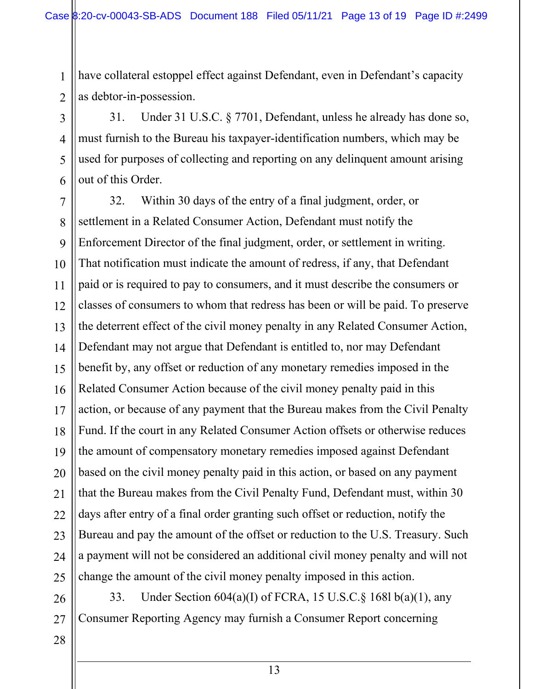have collateral estoppel effect against Defendant, even in Defendant's capacity as debtor-in-possession.

31. Under 31 U.S.C. § 7701, Defendant, unless he already has done so, must furnish to the Bureau his taxpayer-identification numbers, which may be used for purposes of collecting and reporting on any delinquent amount arising out of this Order.

7 8 9 10 11 12 13 14 15 16 17 18 19 20 21 22 23 24 25 32. Within 30 days of the entry of a final judgment, order, or settlement in a Related Consumer Action, Defendant must notify the Enforcement Director of the final judgment, order, or settlement in writing. That notification must indicate the amount of redress, if any, that Defendant paid or is required to pay to consumers, and it must describe the consumers or classes of consumers to whom that redress has been or will be paid. To preserve the deterrent effect of the civil money penalty in any Related Consumer Action, Defendant may not argue that Defendant is entitled to, nor may Defendant benefit by, any offset or reduction of any monetary remedies imposed in the Related Consumer Action because of the civil money penalty paid in this action, or because of any payment that the Bureau makes from the Civil Penalty Fund. If the court in any Related Consumer Action offsets or otherwise reduces the amount of compensatory monetary remedies imposed against Defendant based on the civil money penalty paid in this action, or based on any payment that the Bureau makes from the Civil Penalty Fund, Defendant must, within 30 days after entry of a final order granting such offset or reduction, notify the Bureau and pay the amount of the offset or reduction to the U.S. Treasury. Such a payment will not be considered an additional civil money penalty and will not change the amount of the civil money penalty imposed in this action.

26 27 33. Under Section 604(a)(I) of FCRA, 15 U.S.C.§ 168l b(a)(1), any Consumer Reporting Agency may furnish a Consumer Report concerning

28

1

2

3

4

5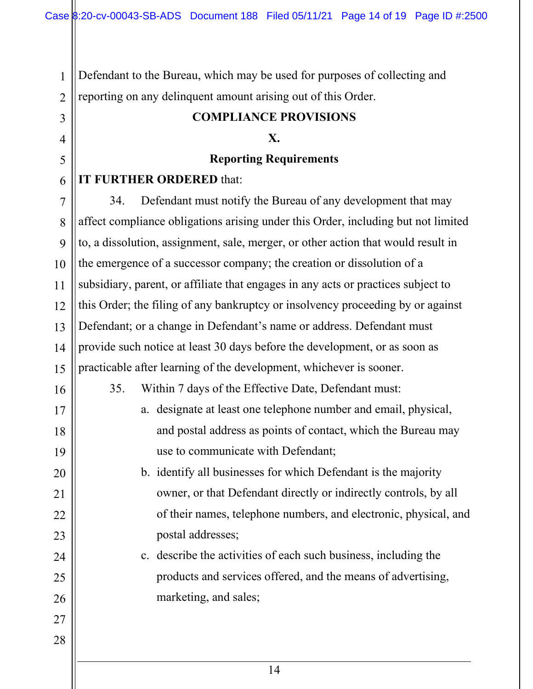Defendant to the Bureau, which may be used for purposes of collecting and reporting on any delinquent amount arising out of this Order.

#### **COMPLIANCE PROVISIONS**

#### **X.**

#### **Reporting Requirements**

#### **IT FURTHER ORDERED** that:

7 8 9 10 12 13 14 15 34. Defendant must notify the Bureau of any development that may affect compliance obligations arising under this Order, including but not limited to, a dissolution, assignment, sale, merger, or other action that would result in the emergence of a successor company; the creation or dissolution of a subsidiary, parent, or affiliate that engages in any acts or practices subject to this Order; the filing of any bankruptcy or insolvency proceeding by or against Defendant; or a change in Defendant's name or address. Defendant must provide such notice at least 30 days before the development, or as soon as practicable after learning of the development, whichever is sooner.

35. Within 7 days of the Effective Date, Defendant must:

a. designate at least one telephone number and email, physical, and postal address as points of contact, which the Bureau may use to communicate with Defendant;

b. identify all businesses for which Defendant is the majority owner, or that Defendant directly or indirectly controls, by all of their names, telephone numbers, and electronic, physical, and postal addresses;

c. describe the activities of each such business, including the products and services offered, and the means of advertising, marketing, and sales;

28

1

2

3

4

5

6

11

16

17

18

19

20

21

22

23

24

25

26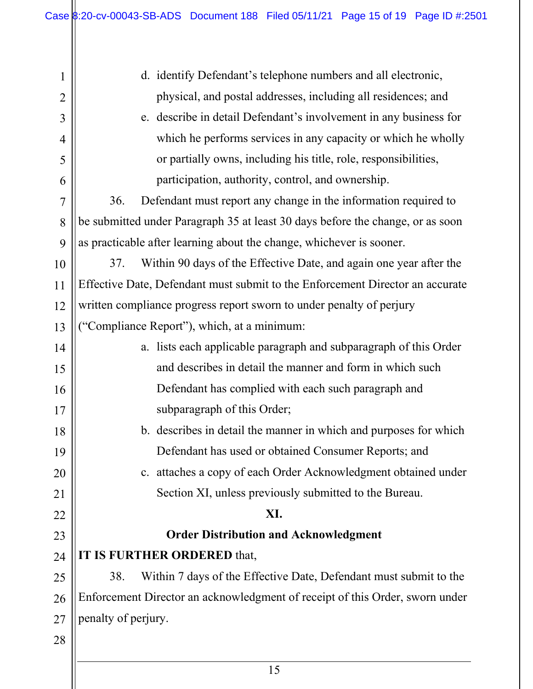| $\mathbf{1}$   | d. identify Defendant's telephone numbers and all electronic,                  |
|----------------|--------------------------------------------------------------------------------|
| $\overline{2}$ | physical, and postal addresses, including all residences; and                  |
| $\overline{3}$ | e. describe in detail Defendant's involvement in any business for              |
| $\overline{4}$ | which he performs services in any capacity or which he wholly                  |
| 5              | or partially owns, including his title, role, responsibilities,                |
| 6              | participation, authority, control, and ownership.                              |
| $\overline{7}$ | Defendant must report any change in the information required to<br>36.         |
| 8              | be submitted under Paragraph 35 at least 30 days before the change, or as soon |
| 9              | as practicable after learning about the change, whichever is sooner.           |
| 10             | Within 90 days of the Effective Date, and again one year after the<br>37.      |
| 11             | Effective Date, Defendant must submit to the Enforcement Director an accurate  |
| 12             | written compliance progress report sworn to under penalty of perjury           |
| 13             | ("Compliance Report"), which, at a minimum:                                    |
| 14             | a. lists each applicable paragraph and subparagraph of this Order              |
| 15             | and describes in detail the manner and form in which such                      |
| 16             | Defendant has complied with each such paragraph and                            |
| 17             | subparagraph of this Order;                                                    |
| 18             | b. describes in detail the manner in which and purposes for which              |
| 19             | Defendant has used or obtained Consumer Reports; and                           |
| 20             | c. attaches a copy of each Order Acknowledgment obtained under                 |
| 21             | Section XI, unless previously submitted to the Bureau.                         |
| 22             | XI.                                                                            |
| 23             | <b>Order Distribution and Acknowledgment</b>                                   |
| 24             | IT IS FURTHER ORDERED that,                                                    |
| 25             | Within 7 days of the Effective Date, Defendant must submit to the<br>38.       |
| 26             | Enforcement Director an acknowledgment of receipt of this Order, sworn under   |
| 27             | penalty of perjury.                                                            |
| 28             |                                                                                |
|                |                                                                                |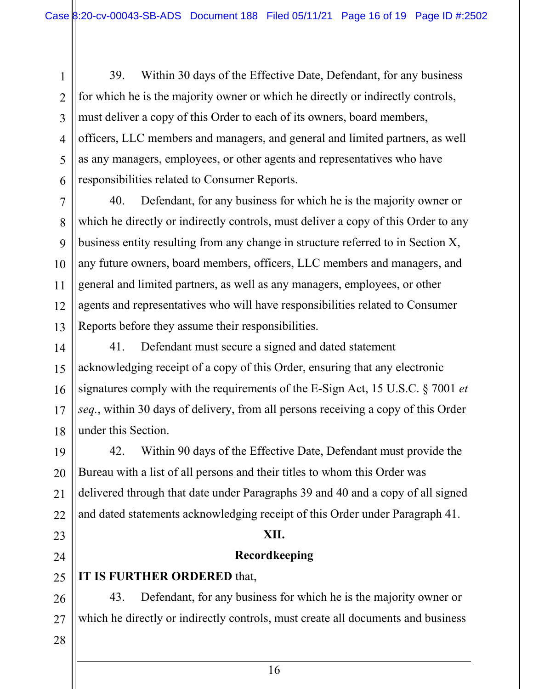39. Within 30 days of the Effective Date, Defendant, for any business for which he is the majority owner or which he directly or indirectly controls, must deliver a copy of this Order to each of its owners, board members, officers, LLC members and managers, and general and limited partners, as well as any managers, employees, or other agents and representatives who have responsibilities related to Consumer Reports.

7 8 9 10 11 12 13 40. Defendant, for any business for which he is the majority owner or which he directly or indirectly controls, must deliver a copy of this Order to any business entity resulting from any change in structure referred to in Section X, any future owners, board members, officers, LLC members and managers, and general and limited partners, as well as any managers, employees, or other agents and representatives who will have responsibilities related to Consumer Reports before they assume their responsibilities.

14 15 16 17 18 41. Defendant must secure a signed and dated statement acknowledging receipt of a copy of this Order, ensuring that any electronic signatures comply with the requirements of the E-Sign Act, 15 U.S.C. § 7001 *et seq.*, within 30 days of delivery, from all persons receiving a copy of this Order under this Section.

19 20 21 22 42. Within 90 days of the Effective Date, Defendant must provide the Bureau with a list of all persons and their titles to whom this Order was delivered through that date under Paragraphs 39 and 40 and a copy of all signed and dated statements acknowledging receipt of this Order under Paragraph 41.

#### **XII.**

#### **Recordkeeping**

## **IT IS FURTHER ORDERED** that,

43. Defendant, for any business for which he is the majority owner or which he directly or indirectly controls, must create all documents and business

28

23

24

25

26

27

1

2

3

4

5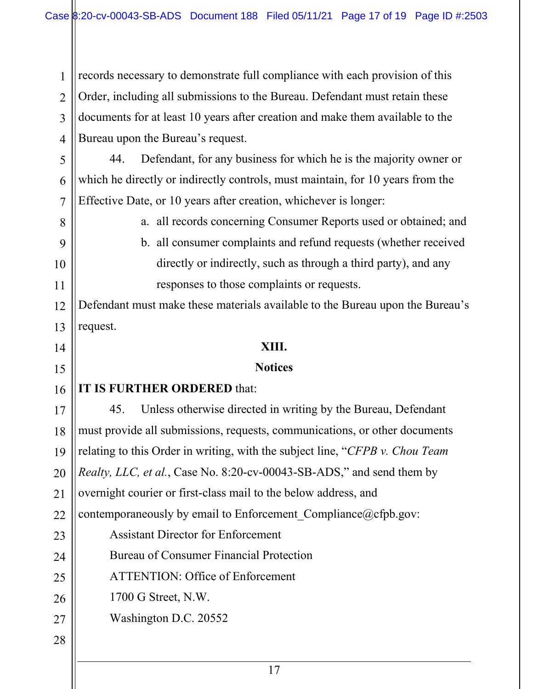1 2 3 4 records necessary to demonstrate full compliance with each provision of this Order, including all submissions to the Bureau. Defendant must retain these documents for at least 10 years after creation and make them available to the Bureau upon the Bureau's request.

5 6 7 44. Defendant, for any business for which he is the majority owner or which he directly or indirectly controls, must maintain, for 10 years from the Effective Date, or 10 years after creation, whichever is longer:

a. all records concerning Consumer Reports used or obtained; and

b. all consumer complaints and refund requests (whether received directly or indirectly, such as through a third party), and any responses to those complaints or requests.

Defendant must make these materials available to the Bureau upon the Bureau's request.

#### **XIII.**

#### **Notices**

#### 16 **IT IS FURTHER ORDERED** that:

8

9

10

11

12

13

14

15

17 18 19 20 21 22 23 24 25 26 27 28 45. Unless otherwise directed in writing by the Bureau, Defendant must provide all submissions, requests, communications, or other documents relating to this Order in writing, with the subject line, "*CFPB v. Chou Team Realty, LLC, et al.*, Case No. 8:20-cv-00043-SB-ADS," and send them by overnight courier or first-class mail to the below address, and contemporaneously by email to Enforcement Compliance@cfpb.gov: Assistant Director for Enforcement Bureau of Consumer Financial Protection ATTENTION: Office of Enforcement 1700 G Street, N.W. Washington D.C. 20552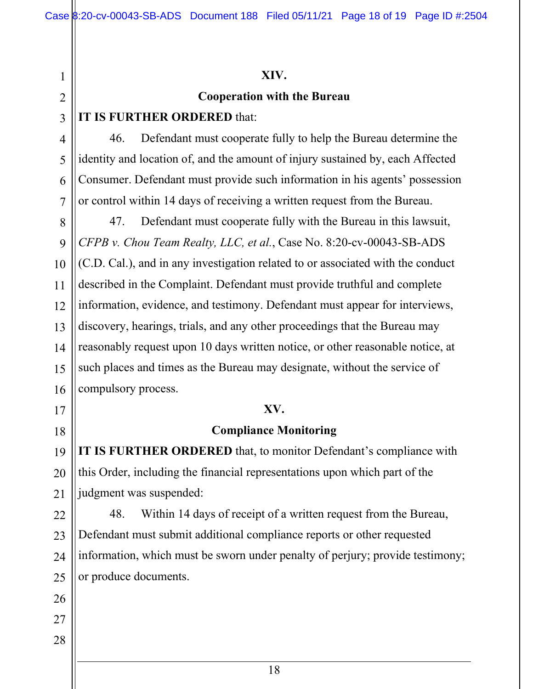28

#### **XIV.**

#### **Cooperation with the Bureau**

### **IT IS FURTHER ORDERED** that:

46. Defendant must cooperate fully to help the Bureau determine the identity and location of, and the amount of injury sustained by, each Affected Consumer. Defendant must provide such information in his agents' possession or control within 14 days of receiving a written request from the Bureau.

47. Defendant must cooperate fully with the Bureau in this lawsuit, *CFPB v. Chou Team Realty, LLC, et al.*, Case No. 8:20-cv-00043-SB-ADS (C.D. Cal.), and in any investigation related to or associated with the conduct described in the Complaint. Defendant must provide truthful and complete information, evidence, and testimony. Defendant must appear for interviews, discovery, hearings, trials, and any other proceedings that the Bureau may reasonably request upon 10 days written notice, or other reasonable notice, at such places and times as the Bureau may designate, without the service of compulsory process.

### **XV.**

## **Compliance Monitoring**

**IT IS FURTHER ORDERED** that, to monitor Defendant's compliance with this Order, including the financial representations upon which part of the judgment was suspended:

48. Within 14 days of receipt of a written request from the Bureau, Defendant must submit additional compliance reports or other requested information, which must be sworn under penalty of perjury; provide testimony; or produce documents.